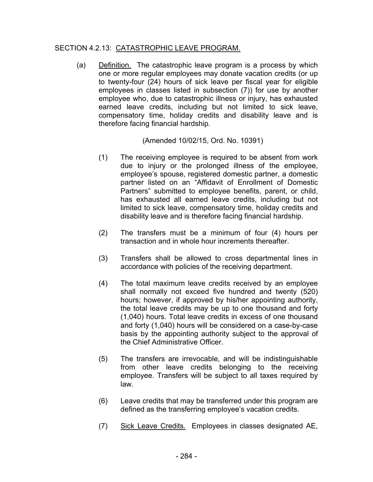## SECTION 4.2.13: CATASTROPHIC LEAVE PROGRAM.

(a) Definition. The catastrophic leave program is a process by which one or more regular employees may donate vacation credits (or up to twenty-four (24) hours of sick leave per fiscal year for eligible employees in classes listed in subsection (7)) for use by another employee who, due to catastrophic illness or injury, has exhausted earned leave credits, including but not limited to sick leave, compensatory time, holiday credits and disability leave and is therefore facing financial hardship.

(Amended 10/02/15, Ord. No. 10391)

- (1) The receiving employee is required to be absent from work due to injury or the prolonged illness of the employee, employee's spouse, registered domestic partner, a domestic partner listed on an "Affidavit of Enrollment of Domestic Partners" submitted to employee benefits, parent, or child, has exhausted all earned leave credits, including but not limited to sick leave, compensatory time, holiday credits and disability leave and is therefore facing financial hardship.
- (2) The transfers must be a minimum of four (4) hours per transaction and in whole hour increments thereafter.
- (3) Transfers shall be allowed to cross departmental lines in accordance with policies of the receiving department.
- (4) The total maximum leave credits received by an employee shall normally not exceed five hundred and twenty (520) hours; however, if approved by his/her appointing authority, the total leave credits may be up to one thousand and forty (1,040) hours. Total leave credits in excess of one thousand and forty (1,040) hours will be considered on a case-by-case basis by the appointing authority subject to the approval of the Chief Administrative Officer.
- (5) The transfers are irrevocable, and will be indistinguishable from other leave credits belonging to the receiving employee. Transfers will be subject to all taxes required by law.
- (6) Leave credits that may be transferred under this program are defined as the transferring employee's vacation credits.
- (7) Sick Leave Credits. Employees in classes designated AE,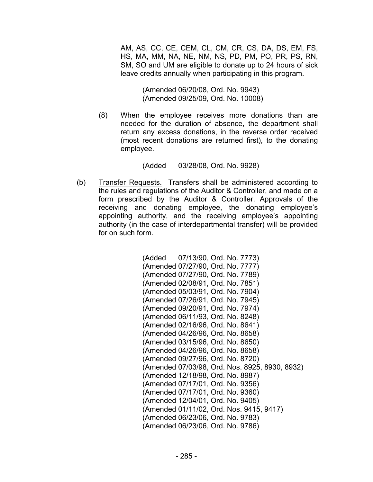AM, AS, CC, CE, CEM, CL, CM, CR, CS, DA, DS, EM, FS, HS, MA, MM, NA, NE, NM, NS, PD, PM, PO, PR, PS, RN, SM, SO and UM are eligible to donate up to 24 hours of sick leave credits annually when participating in this program.

> (Amended 06/20/08, Ord. No. 9943) (Amended 09/25/09, Ord. No. 10008)

(8) When the employee receives more donations than are needed for the duration of absence, the department shall return any excess donations, in the reverse order received (most recent donations are returned first), to the donating employee.

(Added 03/28/08, Ord. No. 9928)

(b) Transfer Requests. Transfers shall be administered according to the rules and regulations of the Auditor & Controller, and made on a form prescribed by the Auditor & Controller. Approvals of the receiving and donating employee, the donating employee's appointing authority, and the receiving employee's appointing authority (in the case of interdepartmental transfer) will be provided for on such form.

> (Added 07/13/90, Ord. No. 7773) (Amended 07/27/90, Ord. No. 7777) (Amended 07/27/90, Ord. No. 7789) (Amended 02/08/91, Ord. No. 7851) (Amended 05/03/91, Ord. No. 7904) (Amended 07/26/91, Ord. No. 7945) (Amended 09/20/91, Ord. No. 7974) (Amended 06/11/93, Ord. No. 8248) (Amended 02/16/96, Ord. No. 8641) (Amended 04/26/96, Ord. No. 8658) (Amended 03/15/96, Ord. No. 8650) (Amended 04/26/96, Ord. No. 8658) (Amended 09/27/96, Ord. No. 8720) (Amended 07/03/98, Ord. Nos. 8925, 8930, 8932) (Amended 12/18/98, Ord. No. 8987) (Amended 07/17/01, Ord. No. 9356) (Amended 07/17/01, Ord. No. 9360) (Amended 12/04/01, Ord. No. 9405) (Amended 01/11/02, Ord. Nos. 9415, 9417) (Amended 06/23/06, Ord. No. 9783) (Amended 06/23/06, Ord. No. 9786)